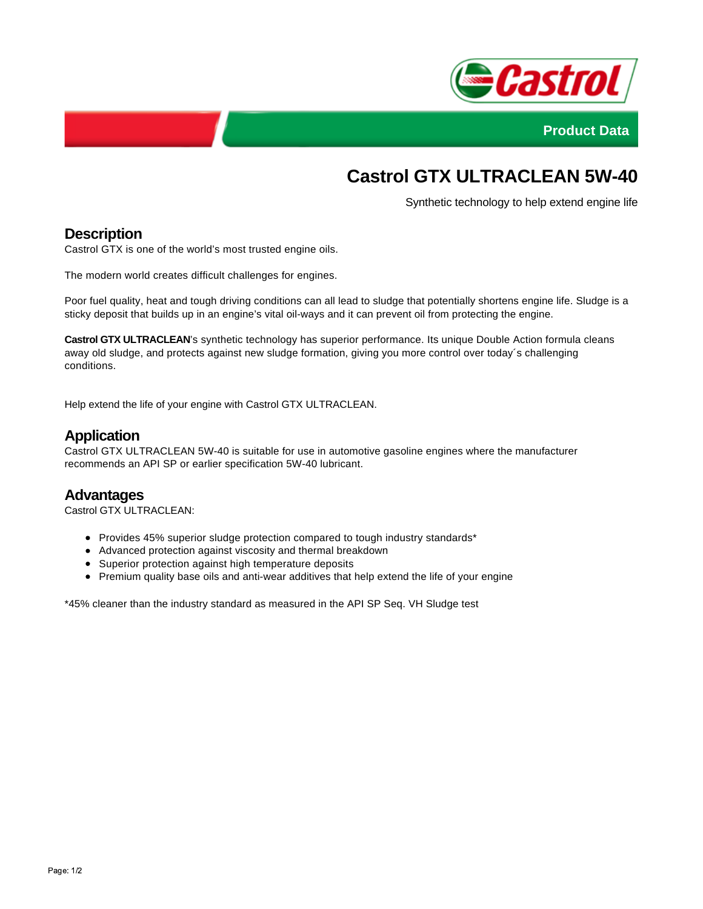



# **Castrol GTX ULTRACLEAN 5W-40**

Synthetic technology to help extend engine life

# **Description**

Castrol GTX is one of the world's most trusted engine oils.

The modern world creates difficult challenges for engines.

Poor fuel quality, heat and tough driving conditions can all lead to sludge that potentially shortens engine life. Sludge is a sticky deposit that builds up in an engine's vital oil-ways and it can prevent oil from protecting the engine.

**Castrol GTX ULTRACLEAN**'s synthetic technology has superior performance. Its unique Double Action formula cleans away old sludge, and protects against new sludge formation, giving you more control over today´s challenging conditions.

Help extend the life of your engine with Castrol GTX ULTRACLEAN.

## **Application**

Castrol GTX ULTRACLEAN 5W-40 is suitable for use in automotive gasoline engines where the manufacturer recommends an API SP or earlier specification 5W-40 lubricant.

#### **Advantages**

Castrol GTX ULTRACLEAN:

- Provides 45% superior sludge protection compared to tough industry standards\*
- Advanced protection against viscosity and thermal breakdown
- Superior protection against high temperature deposits
- Premium quality base oils and anti-wear additives that help extend the life of your engine

\*45% cleaner than the industry standard as measured in the API SP Seq. VH Sludge test